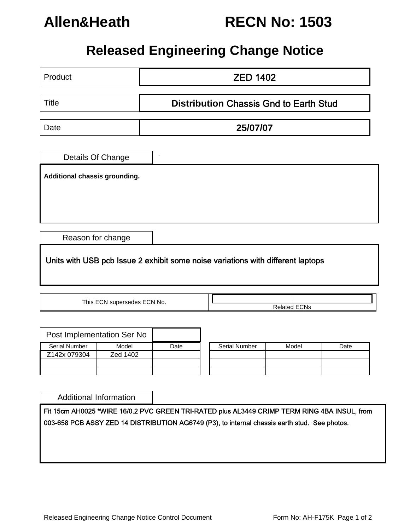

## **Allen&Heath RECN No: 1503**

## **Released Engineering Change Notice**

| Product                                                                                                                                                                                       |                                               | <b>ZED 1402</b>     |       |      |  |  |  |  |  |  |  |
|-----------------------------------------------------------------------------------------------------------------------------------------------------------------------------------------------|-----------------------------------------------|---------------------|-------|------|--|--|--|--|--|--|--|
| <b>Title</b>                                                                                                                                                                                  | <b>Distribution Chassis Gnd to Earth Stud</b> |                     |       |      |  |  |  |  |  |  |  |
| Date                                                                                                                                                                                          | 25/07/07                                      |                     |       |      |  |  |  |  |  |  |  |
| Details Of Change                                                                                                                                                                             |                                               |                     |       |      |  |  |  |  |  |  |  |
| Additional chassis grounding.                                                                                                                                                                 |                                               |                     |       |      |  |  |  |  |  |  |  |
|                                                                                                                                                                                               |                                               |                     |       |      |  |  |  |  |  |  |  |
|                                                                                                                                                                                               |                                               |                     |       |      |  |  |  |  |  |  |  |
| Reason for change                                                                                                                                                                             |                                               |                     |       |      |  |  |  |  |  |  |  |
| Units with USB pcb Issue 2 exhibit some noise variations with different laptops                                                                                                               |                                               |                     |       |      |  |  |  |  |  |  |  |
| This ECN supersedes ECN No.                                                                                                                                                                   |                                               | <b>Related ECNs</b> |       |      |  |  |  |  |  |  |  |
|                                                                                                                                                                                               |                                               |                     |       |      |  |  |  |  |  |  |  |
| Post Implementation Ser No<br>Serial Number<br>Model                                                                                                                                          | Date                                          | Serial Number       | Model | Date |  |  |  |  |  |  |  |
| Z142x 079304<br>Zed 1402                                                                                                                                                                      |                                               |                     |       |      |  |  |  |  |  |  |  |
|                                                                                                                                                                                               |                                               |                     |       |      |  |  |  |  |  |  |  |
| <b>Additional Information</b>                                                                                                                                                                 |                                               |                     |       |      |  |  |  |  |  |  |  |
| Fit 15cm AH0025 *WIRE 16/0.2 PVC GREEN TRI-RATED plus AL3449 CRIMP TERM RING 4BA INSUL, from<br>003-658 PCB ASSY ZED 14 DISTRIBUTION AG6749 (P3), to internal chassis earth stud. See photos. |                                               |                     |       |      |  |  |  |  |  |  |  |
|                                                                                                                                                                                               |                                               |                     |       |      |  |  |  |  |  |  |  |
|                                                                                                                                                                                               |                                               |                     |       |      |  |  |  |  |  |  |  |